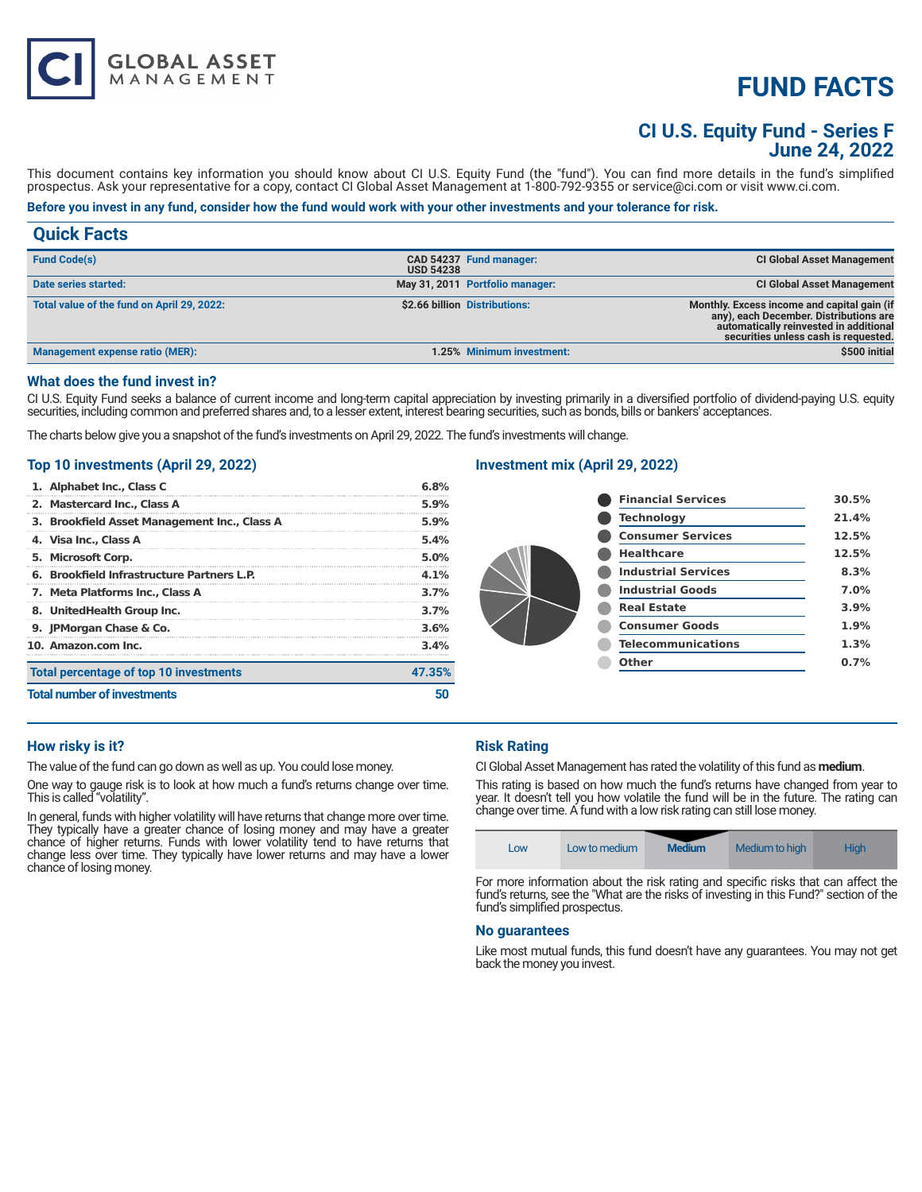# **FUND FACTS**

# **CI U.S. Equity Fund - Series F June 24, 2022**

This document contains key information you should know about CI U.S. Equity Fund (the "fund"). You can find more details in the fund's simplified prospectus. Ask your representative for a copy, contact CI Global Asset Management at 1-800-792-9355 or service@ci.com or visit www.ci.com.

# **Before you invest in any fund, consider how the fund would work with your other investments and your tolerance for risk.**

| <b>Quick Facts</b>                         |                  |                                 |                                                                                                                                                                         |
|--------------------------------------------|------------------|---------------------------------|-------------------------------------------------------------------------------------------------------------------------------------------------------------------------|
| <b>Fund Code(s)</b>                        | <b>USD 54238</b> | CAD 54237 Fund manager:         | <b>CI Global Asset Management</b>                                                                                                                                       |
| Date series started:                       |                  | May 31, 2011 Portfolio manager: | <b>CI Global Asset Management</b>                                                                                                                                       |
| Total value of the fund on April 29, 2022: |                  | \$2.66 billion Distributions:   | Monthly. Excess income and capital gain (if<br>any), each December. Distributions are<br>automatically reinvested in additional<br>securities unless cash is requested. |
| <b>Management expense ratio (MER):</b>     |                  | 1.25% Minimum investment:       | \$500 initial                                                                                                                                                           |

#### **What does the fund invest in?**

CI U.S. Equity Fund seeks a balance of current income and long-term capital appreciation by investing primarily in a diversified portfolio of dividend-paying U.S. equity securities, including common and preferred shares and, to a lesser extent, interest bearing securities, such as bonds, bills or bankers' acceptances.

The charts below give you a snapshot of the fund's investments on April 29, 2022. The fund's investments will change.

#### **Top 10 investments (April 29, 2022)**

**GLOBAL ASSET**<br>MANAGEMENT

| 1. Alphabet Inc., Class C                    | 6.8%    |
|----------------------------------------------|---------|
| 2. Mastercard Inc., Class A                  | 5.9%    |
| 3. Brookfield Asset Management Inc., Class A | 5.9%    |
| 4. Visa Inc., Class A                        | 5.4%    |
| 5. Microsoft Corp.                           | 5.0%    |
| 6. Brookfield Infrastructure Partners L.P.   | $4.1\%$ |
| 7. Meta Platforms Inc., Class A              | 3.7%    |
| 8. UnitedHealth Group Inc.                   | 3.7%    |
| 9. JPMorgan Chase & Co.                      | 3.6%    |
| 10. Amazon.com Inc.                          | 3.4%    |
| Total percentage of top 10 investments       | 47.35%  |
| <b>Total number of investments</b>           |         |

# **Investment mix (April 29, 2022)**

| <b>Financial Services</b>  | 30.5% |
|----------------------------|-------|
| <b>Technology</b>          | 21.4% |
| <b>Consumer Services</b>   | 12.5% |
| <b>Healthcare</b>          | 12.5% |
| <b>Industrial Services</b> | 8.3%  |
| <b>Industrial Goods</b>    | 7.0%  |
| <b>Real Estate</b>         | 3.9%  |
| <b>Consumer Goods</b>      | 1.9%  |
| <b>Telecommunications</b>  | 1.3%  |
| Other                      | 0.7%  |
|                            |       |

# **How risky is it?**

The value of the fund can go down as well as up. You could lose money.

One way to gauge risk is to look at how much a fund's returns change over time. This is called "volatility".

In general, funds with higher volatility will have returns that change more over time. They typically have a greater chance of losing money and may have a greater chance of higher returns. Funds with lower volatility tend to have returns that change less over time. They typically have lower returns and may have a lower chance of losing money.

# **Risk Rating**

CI Global Asset Management has rated the volatility of this fund as **medium**.

This rating is based on how much the fund's returns have changed from year to year. It doesn't tell you how volatile the fund will be in the future. The rating can change over time. A fund with a low risk rating can still lose money.



fund's returns, see the "What are the risks of investing in this Fund?" section of the fund's simplified prospectus.

#### **No guarantees**

Like most mutual funds, this fund doesn't have any guarantees. You may not get back the money you invest.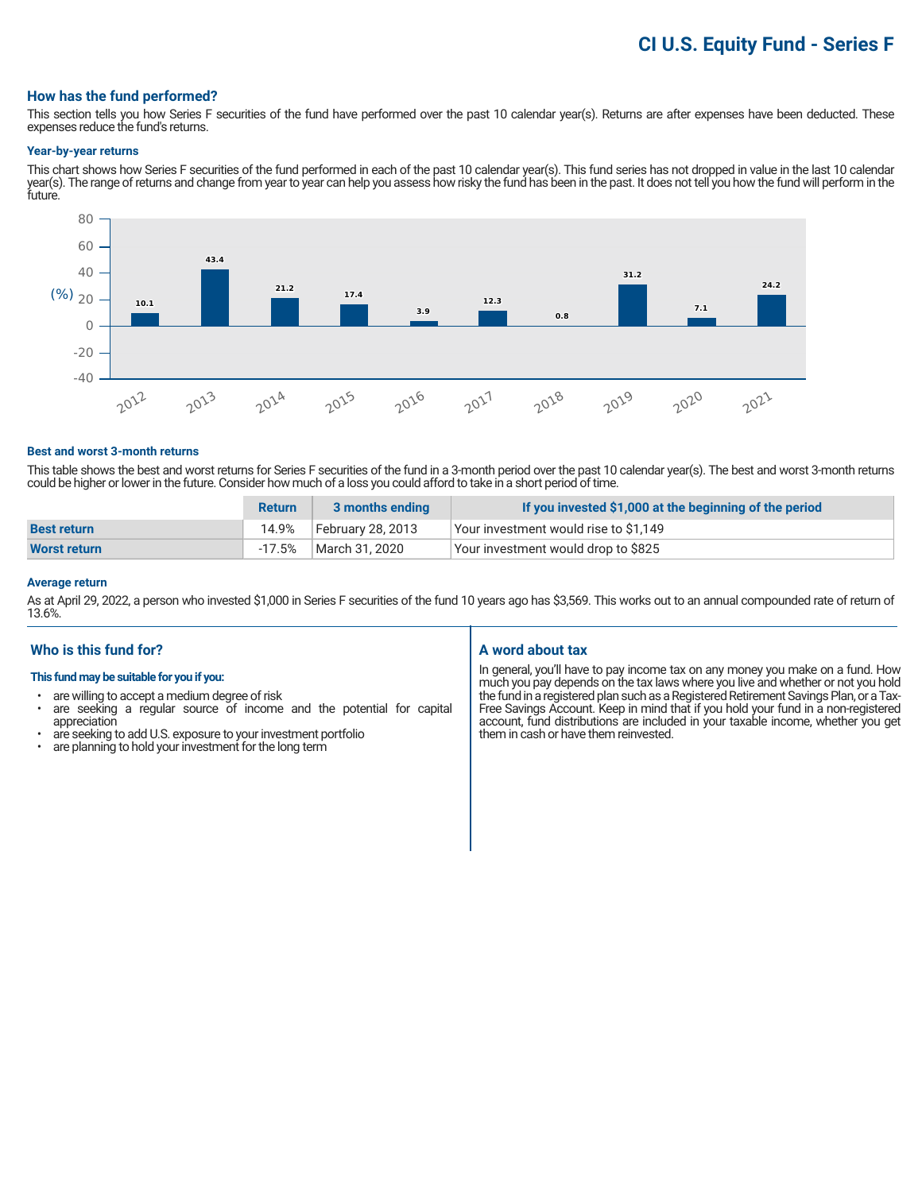# **CI U.S. Equity Fund - Series F**

#### **How has the fund performed?**

This section tells you how Series F securities of the fund have performed over the past 10 calendar year(s). Returns are after expenses have been deducted. These expenses reduce the fund's returns.

#### **Year-by-year returns**

This chart shows how Series F securities of the fund performed in each of the past 10 calendar year(s). This fund series has not dropped in value in the last 10 calendar year(s). The range of returns and change from year to year can help you assess how risky the fund has been in the past. It does not tell you how the fund will perform in the future.



#### **Best and worst 3-month returns**

This table shows the best and worst returns for Series F securities of the fund in a 3-month period over the past 10 calendar year(s). The best and worst 3-month returns could be higher or lower in the future. Consider how much of a loss you could afford to take in a short period of time.

|                    | <b>Return</b> | 3 months ending   | If you invested \$1,000 at the beginning of the period |
|--------------------|---------------|-------------------|--------------------------------------------------------|
| <b>Best return</b> | 14.9%         | February 28, 2013 | Your investment would rise to \$1,149                  |
| Worst return       | $-17.5%$      | March 31, 2020    | Your investment would drop to \$825                    |

#### **Average return**

As at April 29, 2022, a person who invested \$1,000 in Series F securities of the fund 10 years ago has \$3,569. This works out to an annual compounded rate of return of 13.6%.

## **Who is this fund for?**

#### **This fund may be suitable for you if you:**

- are willing to accept a medium degree of risk
- are seeking a regular source of income and the potential for capital appreciation
- are seeking to add U.S. exposure to your investment portfolio<br>• are planning to hold your investment for the long term
- are planning to hold your investment for the long term

#### **A word about tax**

In general, you'll have to pay income tax on any money you make on a fund. How much you pay depends on the tax laws where you live and whether or not you hold the fund in a registered plan such as a Registered Retirement Savings Plan, or a Tax-Free Savings Account. Keep in mind that if you hold your fund in a non-registered account, fund distributions are included in your taxable income, whether you get them in cash or have them reinvested.